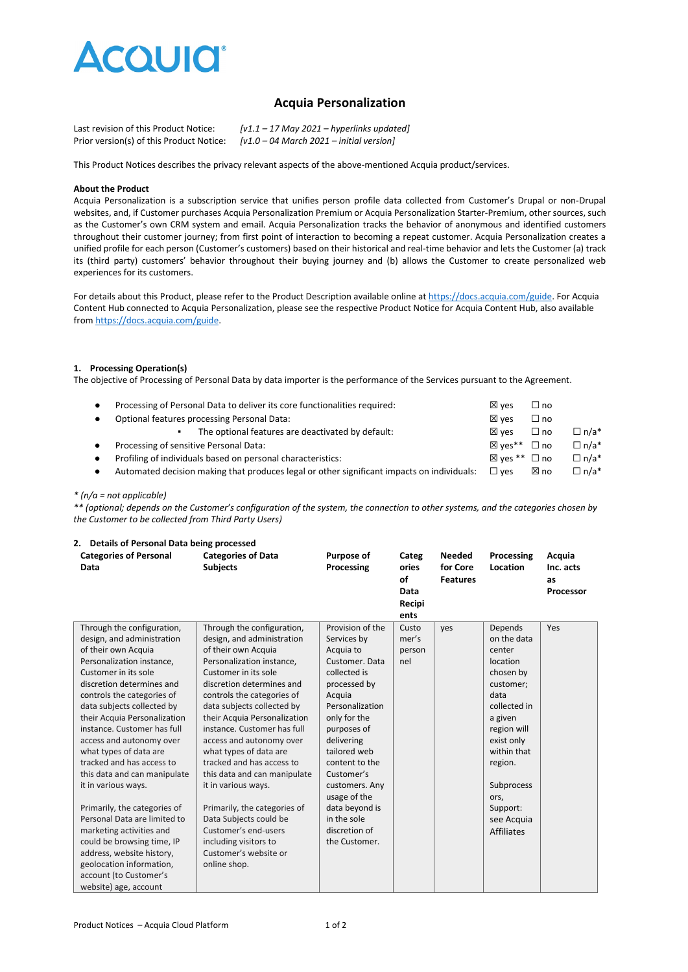

# **Acquia Personalization**

| Last revision of this Product Notice:    | $[v1.1 - 17$ May 2021 – hyperlinks updated]                |
|------------------------------------------|------------------------------------------------------------|
| Prior version(s) of this Product Notice: | $[v1.0 - 04 \text{ March } 2021 - \text{initial version}]$ |

This Product Notices describes the privacy relevant aspects of the above-mentioned Acquia product/services.

#### **About the Product**

Acquia Personalization is a subscription service that unifies person profile data collected from Customer's Drupal or non-Drupal websites, and, if Customer purchases Acquia Personalization Premium or Acquia Personalization Starter-Premium, other sources, such as the Customer's own CRM system and email. Acquia Personalization tracks the behavior of anonymous and identified customers throughout their customer journey; from first point of interaction to becoming a repeat customer. Acquia Personalization creates a unified profile for each person (Customer's customers) based on their historical and real-time behavior and lets the Customer (a) track its (third party) customers' behavior throughout their buying journey and (b) allows the Customer to create personalized web experiences for its customers.

For details about this Product, please refer to the Product Description available online at [https://docs.acquia.com/guide.](https://docs.acquia.com/guide) For Acquia Content Hub connected to Acquia Personalization, please see the respective Product Notice for Acquia Content Hub, also available fro[m https://docs.acquia.com/guide.](https://docs.acquia.com/guide)

#### **1. Processing Operation(s)**

The objective of Processing of Personal Data by data importer is the performance of the Services pursuant to the Agreement.

| $\bullet$<br>$\bullet$ | Processing of Personal Data to deliver its core functionalities required:<br>Optional features processing Personal Data: | $\boxtimes$ ves<br>$\boxtimes$ ves | $\Box$ no<br>$\Box$ no       |             |
|------------------------|--------------------------------------------------------------------------------------------------------------------------|------------------------------------|------------------------------|-------------|
|                        | The optional features are deactivated by default:                                                                        | $\boxtimes$ ves                    | $\Box$ no                    | $\Box$ n/a* |
| $\bullet$              | Processing of sensitive Personal Data:                                                                                   | ⊠ ves <sup>**</sup> □ no           |                              | $\Box$ n/a* |
| $\bullet$              | Profiling of individuals based on personal characteristics:                                                              |                                    | $\boxtimes$ ves ** $\Box$ no | $\Box$ n/a* |
| $\bullet$              | Automated decision making that produces legal or other significant impacts on individuals:                               | $\square$ ves                      | ⊠ no                         | $\Box$ n/a* |

#### *\* (n/a = not applicable)*

*\*\* (optional; depends on the Customer's configuration of the system, the connection to other systems, and the categories chosen by the Customer to be collected from Third Party Users)*

#### **2. Details of Personal Data being processed**

| <b>Categories of Personal</b><br>Data | <b>Categories of Data</b><br><b>Subjects</b> | Purpose of<br>Processing | Categ<br>ories<br>of<br>Data<br>Recipi<br>ents | <b>Needed</b><br>for Core<br><b>Features</b> | Processing<br>Location | Acquia<br>Inc. acts<br>as<br>Processor |
|---------------------------------------|----------------------------------------------|--------------------------|------------------------------------------------|----------------------------------------------|------------------------|----------------------------------------|
| Through the configuration,            | Through the configuration,                   | Provision of the         | Custo                                          | ves                                          | Depends                | Yes                                    |
| design, and administration            | design, and administration                   | Services by              | mer's                                          |                                              | on the data            |                                        |
| of their own Acquia                   | of their own Acquia                          | Acquia to                | person                                         |                                              | center                 |                                        |
| Personalization instance,             | Personalization instance,                    | Customer, Data           | nel                                            |                                              | location               |                                        |
| Customer in its sole                  | Customer in its sole                         | collected is             |                                                |                                              | chosen by              |                                        |
| discretion determines and             | discretion determines and                    | processed by             |                                                |                                              | customer;              |                                        |
| controls the categories of            | controls the categories of                   | Acquia                   |                                                |                                              | data                   |                                        |
| data subjects collected by            | data subjects collected by                   | Personalization          |                                                |                                              | collected in           |                                        |
| their Acquia Personalization          | their Acquia Personalization                 | only for the             |                                                |                                              | a given                |                                        |
| instance. Customer has full           | instance. Customer has full                  | purposes of              |                                                |                                              | region will            |                                        |
| access and autonomy over              | access and autonomy over                     | delivering               |                                                |                                              | exist only             |                                        |
| what types of data are                | what types of data are                       | tailored web             |                                                |                                              | within that            |                                        |
| tracked and has access to             | tracked and has access to                    | content to the           |                                                |                                              | region.                |                                        |
| this data and can manipulate          | this data and can manipulate                 | Customer's               |                                                |                                              |                        |                                        |
| it in various ways.                   | it in various ways.                          | customers. Any           |                                                |                                              | Subprocess             |                                        |
|                                       |                                              | usage of the             |                                                |                                              | ors,                   |                                        |
| Primarily, the categories of          | Primarily, the categories of                 | data beyond is           |                                                |                                              | Support:               |                                        |
| Personal Data are limited to          | Data Subjects could be                       | in the sole              |                                                |                                              | see Acquia             |                                        |
| marketing activities and              | Customer's end-users                         | discretion of            |                                                |                                              | <b>Affiliates</b>      |                                        |
| could be browsing time, IP            | including visitors to                        | the Customer.            |                                                |                                              |                        |                                        |
| address, website history,             | Customer's website or                        |                          |                                                |                                              |                        |                                        |
| geolocation information,              | online shop.                                 |                          |                                                |                                              |                        |                                        |
| account (to Customer's                |                                              |                          |                                                |                                              |                        |                                        |
| website) age, account                 |                                              |                          |                                                |                                              |                        |                                        |